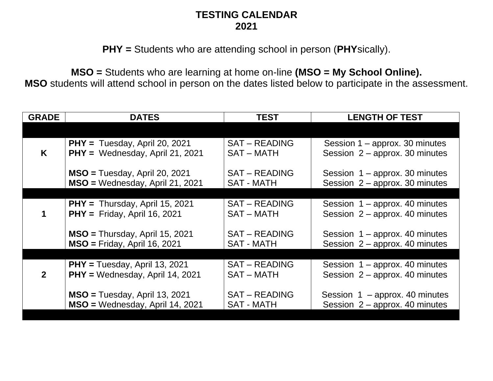## **TESTING CALENDAR 2021**

**PHY =** Students who are attending school in person (**PHY**sically).

**MSO =** Students who are learning at home on-line **(MSO = My School Online). MSO** students will attend school in person on the dates listed below to participate in the assessment.

| <b>GRADE</b> | <b>DATES</b>                      | <b>TEST</b>          | <b>LENGTH OF TEST</b>            |
|--------------|-----------------------------------|----------------------|----------------------------------|
|              |                                   |                      |                                  |
| K            | $PHY = Tuesday$ , April 20, 2021  | <b>SAT – READING</b> | Session $1$ – approx. 30 minutes |
|              | PHY = Wednesday, April 21, 2021   | <b>SAT-MATH</b>      | Session $2$ – approx. 30 minutes |
|              | $MSO = Tuesday$ , April 20, 2021  | <b>SAT – READING</b> | Session $1$ – approx. 30 minutes |
|              | MSO = Wednesday, April 21, 2021   | <b>SAT - MATH</b>    | Session $2$ – approx. 30 minutes |
|              |                                   |                      |                                  |
|              | $PHY = Thursday$ , April 15, 2021 | <b>SAT – READING</b> | Session $1$ – approx. 40 minutes |
|              | $PHY = Friday$ , April 16, 2021   | <b>SAT – MATH</b>    | Session $2$ – approx. 40 minutes |
|              | $MSO = Thursday$ , April 15, 2021 | <b>SAT – READING</b> | Session $1$ – approx. 40 minutes |
|              | $MSO = Friday$ , April 16, 2021   | <b>SAT - MATH</b>    | Session $2$ – approx. 40 minutes |
|              |                                   |                      |                                  |
| $\mathbf{2}$ | $PHY = Tuesday$ , April 13, 2021  | <b>SAT – READING</b> | Session $1$ – approx. 40 minutes |
|              | PHY = Wednesday, April 14, 2021   | <b>SAT-MATH</b>      | Session $2$ – approx. 40 minutes |
|              | $MSO = Tuesday$ , April 13, 2021  | <b>SAT – READING</b> | Session $1 -$ approx. 40 minutes |
|              | MSO = Wednesday, April 14, 2021   | <b>SAT - MATH</b>    | Session $2$ – approx. 40 minutes |